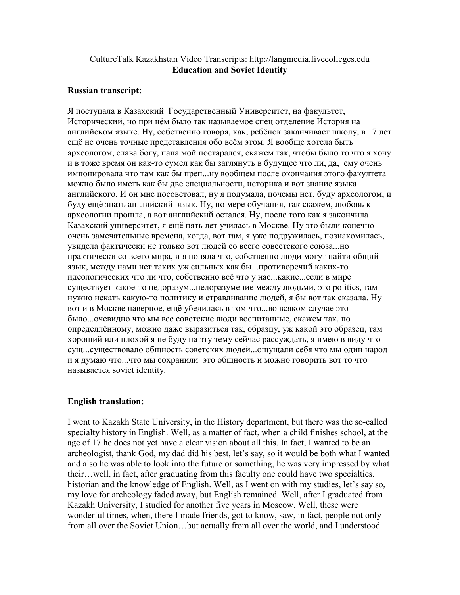## CultureTalk Kazakhstan Video Transcripts: http://langmedia.fivecolleges.edu Education and Soviet Identity

## Russian transcript:

Я поступала в Казахский Государственный Университет, на факультет, Исторический, но при нём было так называемое спец отделение История на английском языке. Ну, собственно говоря, как, ребёнок заканчивает школу, в 17 лет ещё не очень точные представления обо всём этом. Я вообще хотела быть археологом, слава богу, папа мой постарался, скажем так, чтобы было то что я хочу и в тоже время он как-то сумел как бы заглянуть в будущее что ли, да, ему очень импонировала что там как бы преп...ну вообщем после окончания этого факултета можно было иметь как бы две специальности, историка и вот знание языка английского. И он мне посоветовал, ну я подумала, почемы нет, буду археологом, и буду ещё знать английский язык. Ну, по мере обучания, так скажем, любовь к археологии прошла, а вот английский остался. Ну, после того как я закончила Казахский университет, я ещё пять лет училась в Москве. Ну это были конечно очень замечательные времена, когда, вот там, я уже подружилась, познакомилась, увидела фактически не только вот людей со всего совеетского союза...но практически со всего мира, и я поняла что, собственно люди могут найти общий язык, между нами нет таких уж сильных как бы...противоречий каких-то идеологических что ли что, собственно всё что у нас...какие...если в мире существует какое-то недоразум...недоразумение между людьми, это politics, там нужно искать какую-то политику и стравливание людей, я бы вот так сказала. Ну вот и в Москве наверное, ещё убедилась в том что...во всяком случае это было...очевидно что мы все советские люди воспитанные, скажем так, по определлённому, можно даже выразиться так, образцу, уж какой это образец, там хороший или плохой я не буду на эту тему сейчас рассуждать, я имею в виду что сущ...существовало общность советских людей...ощущали себя что мы один народ и я думаю что...что мы сохранили это общность и можно говорить вот то что называется soviet identity.

## English translation:

I went to Kazakh State University, in the History department, but there was the so-called specialty history in English. Well, as a matter of fact, when a child finishes school, at the age of 17 he does not yet have a clear vision about all this. In fact, I wanted to be an archeologist, thank God, my dad did his best, let's say, so it would be both what I wanted and also he was able to look into the future or something, he was very impressed by what their…well, in fact, after graduating from this faculty one could have two specialties, historian and the knowledge of English. Well, as I went on with my studies, let's say so, my love for archeology faded away, but English remained. Well, after I graduated from Kazakh University, I studied for another five years in Moscow. Well, these were wonderful times, when, there I made friends, got to know, saw, in fact, people not only from all over the Soviet Union…but actually from all over the world, and I understood